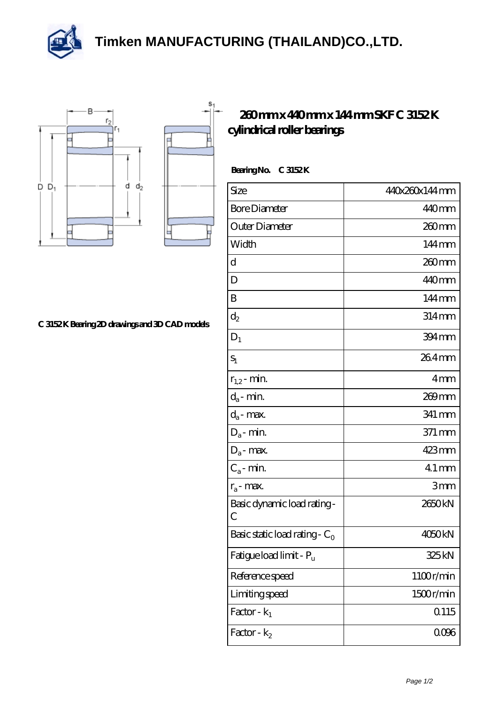**[Timken MANUFACTURING \(THAILAND\)CO.,LTD.](https://m.thereclaimer.net)**





 $S<sub>1</sub>$ 

## **[260 mm x 440 mm x 144 mm SKF C 3152 K](https://m.thereclaimer.net/skf-c-3152-k-bearing/) [cylindrical roller bearings](https://m.thereclaimer.net/skf-c-3152-k-bearing/)**

| BearingNo. | C 3152K |
|------------|---------|
|            |         |

| Size                                      | 440x260x144mm       |
|-------------------------------------------|---------------------|
| <b>Bore Diameter</b>                      | 440mm               |
| Outer Diameter                            | 260mm               |
| Width                                     | $144 \,\mathrm{mm}$ |
| d                                         | 260mm               |
| D                                         | 440mm               |
| B                                         | 144mm               |
| $d_2$                                     | 314mm               |
| $D_1$                                     | 394 mm              |
| $S_1$                                     | 264mm               |
| $r_{1,2}$ - min.                          | 4mm                 |
| $d_a$ - min.                              | 269 mm              |
| $d_a$ - max.                              | 341 mm              |
| $D_a$ - min.                              | 371 mm              |
| $D_a$ - max.                              | 423mm               |
| $C_a$ - min.                              | $41$ mm             |
| $r_a$ - max.                              | 3mm                 |
| Basic dynamic load rating-<br>С           | 2650kN              |
| Basic static load rating - C <sub>0</sub> | 4050kN              |
| Fatigue load limit - Pu                   | 325 kN              |
| Reference speed                           | 1100r/min           |
| Limiting speed                            | 1500r/min           |
| Factor - $k_1$                            | Q115                |
| Factor - $k_2$                            | 0006                |

**[C 3152 K Bearing 2D drawings and 3D CAD models](https://m.thereclaimer.net/pic-65136418.html)**